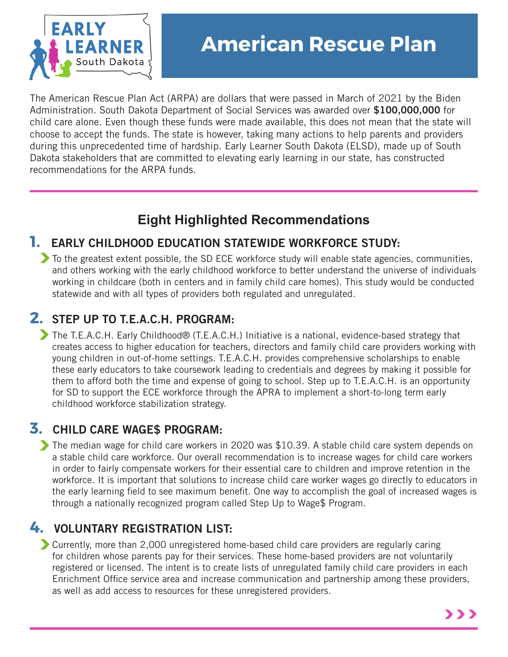

The American Rescue Plan Act (ARPA) are dollars that were passed in March of 2021 by the Biden Administration. South Dakota Department of Social Services was awarded over **\$100,000,000** for child care alone. Even though these funds were made available, this does not mean that the state will choose to accept the funds. The state is however, taking many actions to help parents and providers during this unprecedented time of hardship. Early Learner South Dakota (ELSD), made up of South Dakota stakeholders that are committed to elevating early learning in our state, has constructed recommendations for the ARPA funds.

# **Eight Highlighted Recommendations**

#### 1. **EARLY CHILDHOOD EDUCATION STATEWIDE WORKFORCE STUDY:**

To the greatest extent possible, the SD ECE workforce study will enable state agencies, communities, and others working with the early childhood workforce to better understand the universe of individuals working in childcare (both in centers and in family child care homes). This study would be conducted statewide and with all types of providers both regulated and unregulated.

#### 2. **STEP UP TO T.E.A.C.H. PROGRAM:**

The T.E.A.C.H. Early Childhood® (T.E.A.C.H.) Initiative is a national, evidence-based strategy that creates access to higher education for teachers, directors and family child care providers working with young children in out-of-home settings. T.E.A.C.H. provides comprehensive scholarships to enable these early educators to take coursework leading to credentials and degrees by making it possible for them to afford both the time and expense of going to school. Step up to T.E.A.C.H. is an opportunity for SD to support the ECE workforce through the APRA to implement a short-to-long term early childhood workforce stabilization strategy.

### 3. **CHILD CARE WAGE\$ PROGRAM:**

The median wage for child care workers in 2020 was \$10.39. A stable child care system depends on a stable child care workforce. Our overall recommendation is to increase wages for child care workers in order to fairly compensate workers for their essential care to children and improve retention in the workforce. It is important that solutions to increase child care worker wages go directly to educators in the early learning field to see maximum benefit. One way to accomplish the goal of increased wages is through a nationally recognized program called Step Up to Wage\$ Program.

#### 4. **VOLUNTARY REGISTRATION LIST:**

Currently, more than 2,000 unregistered home-based child care providers are regularly caring for children whose parents pay for their services. These home-based providers are not voluntarily registered or licensed. The intent is to create lists of unregulated family child care providers in each Enrichment Office service area and increase communication and partnership among these providers, as well as add access to resources for these unregistered providers.